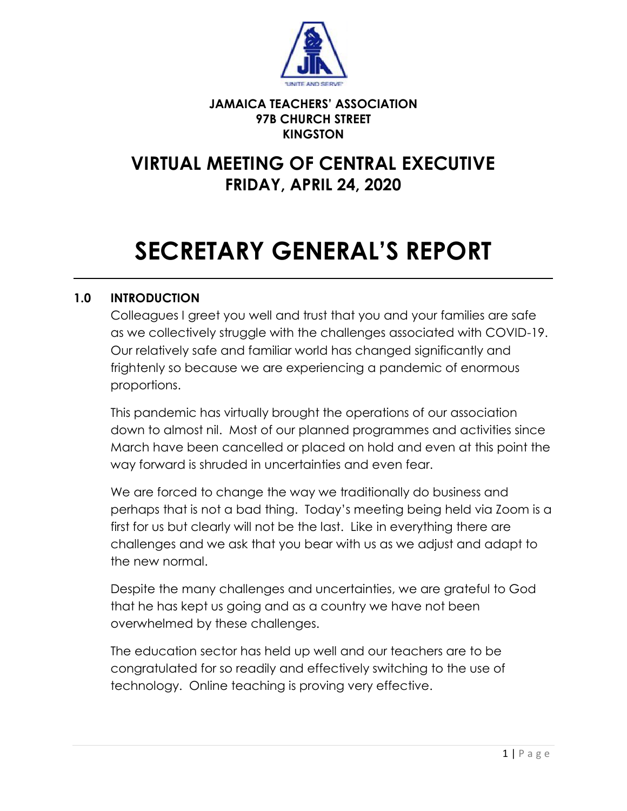

#### **JAMAICA TEACHERS' ASSOCIATION 97B CHURCH STREET KINGSTON**

# **VIRTUAL MEETING OF CENTRAL EXECUTIVE FRIDAY, APRIL 24, 2020**

# **SECRETARY GENERAL'S REPORT**

 $\mathcal{L}_\mathcal{L} = \mathcal{L}_\mathcal{L} = \mathcal{L}_\mathcal{L} = \mathcal{L}_\mathcal{L} = \mathcal{L}_\mathcal{L} = \mathcal{L}_\mathcal{L} = \mathcal{L}_\mathcal{L} = \mathcal{L}_\mathcal{L} = \mathcal{L}_\mathcal{L} = \mathcal{L}_\mathcal{L} = \mathcal{L}_\mathcal{L} = \mathcal{L}_\mathcal{L} = \mathcal{L}_\mathcal{L} = \mathcal{L}_\mathcal{L} = \mathcal{L}_\mathcal{L} = \mathcal{L}_\mathcal{L} = \mathcal{L}_\mathcal{L}$ 

# **1.0 INTRODUCTION**

Colleagues I greet you well and trust that you and your families are safe as we collectively struggle with the challenges associated with COVID-19. Our relatively safe and familiar world has changed significantly and frightenly so because we are experiencing a pandemic of enormous proportions.

This pandemic has virtually brought the operations of our association down to almost nil. Most of our planned programmes and activities since March have been cancelled or placed on hold and even at this point the way forward is shruded in uncertainties and even fear.

We are forced to change the way we traditionally do business and perhaps that is not a bad thing. Today's meeting being held via Zoom is a first for us but clearly will not be the last. Like in everything there are challenges and we ask that you bear with us as we adjust and adapt to the new normal.

Despite the many challenges and uncertainties, we are grateful to God that he has kept us going and as a country we have not been overwhelmed by these challenges.

The education sector has held up well and our teachers are to be congratulated for so readily and effectively switching to the use of technology. Online teaching is proving very effective.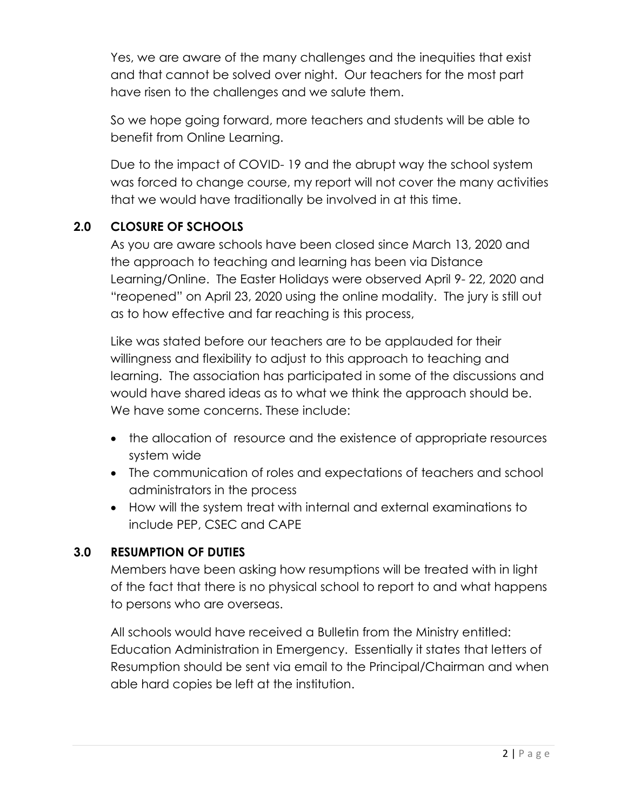Yes, we are aware of the many challenges and the inequities that exist and that cannot be solved over night. Our teachers for the most part have risen to the challenges and we salute them.

So we hope going forward, more teachers and students will be able to benefit from Online Learning.

Due to the impact of COVID- 19 and the abrupt way the school system was forced to change course, my report will not cover the many activities that we would have traditionally be involved in at this time.

# **2.0 CLOSURE OF SCHOOLS**

As you are aware schools have been closed since March 13, 2020 and the approach to teaching and learning has been via Distance Learning/Online. The Easter Holidays were observed April 9- 22, 2020 and "reopened" on April 23, 2020 using the online modality. The jury is still out as to how effective and far reaching is this process,

Like was stated before our teachers are to be applauded for their willingness and flexibility to adjust to this approach to teaching and learning. The association has participated in some of the discussions and would have shared ideas as to what we think the approach should be. We have some concerns. These include:

- the allocation of resource and the existence of appropriate resources system wide
- The communication of roles and expectations of teachers and school administrators in the process
- How will the system treat with internal and external examinations to include PEP, CSEC and CAPE

#### **3.0 RESUMPTION OF DUTIES**

Members have been asking how resumptions will be treated with in light of the fact that there is no physical school to report to and what happens to persons who are overseas.

All schools would have received a Bulletin from the Ministry entitled: Education Administration in Emergency. Essentially it states that letters of Resumption should be sent via email to the Principal/Chairman and when able hard copies be left at the institution.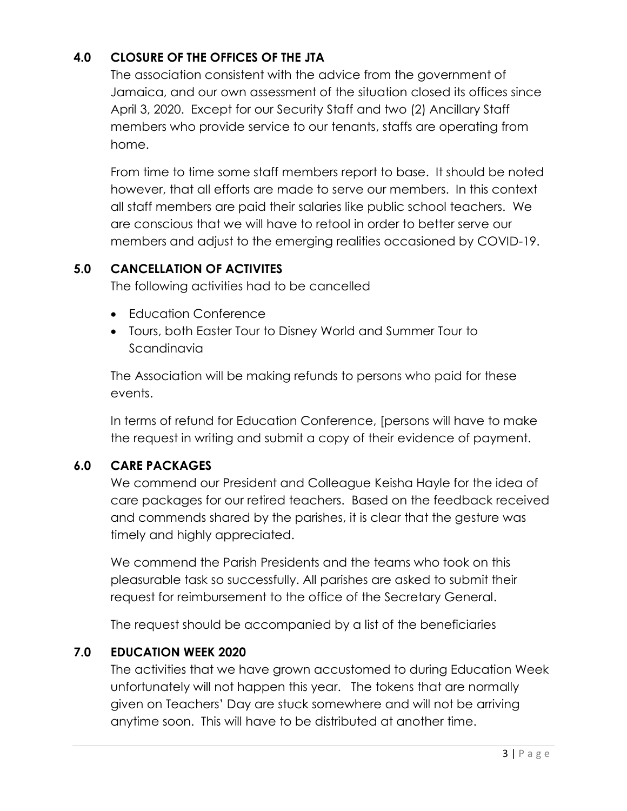# **4.0 CLOSURE OF THE OFFICES OF THE JTA**

The association consistent with the advice from the government of Jamaica, and our own assessment of the situation closed its offices since April 3, 2020. Except for our Security Staff and two (2) Ancillary Staff members who provide service to our tenants, staffs are operating from home.

From time to time some staff members report to base. It should be noted however, that all efforts are made to serve our members. In this context all staff members are paid their salaries like public school teachers. We are conscious that we will have to retool in order to better serve our members and adjust to the emerging realities occasioned by COVID-19.

# **5.0 CANCELLATION OF ACTIVITES**

The following activities had to be cancelled

- Education Conference
- Tours, both Easter Tour to Disney World and Summer Tour to Scandinavia

The Association will be making refunds to persons who paid for these events.

In terms of refund for Education Conference, [persons will have to make the request in writing and submit a copy of their evidence of payment.

#### **6.0 CARE PACKAGES**

We commend our President and Colleague Keisha Hayle for the idea of care packages for our retired teachers. Based on the feedback received and commends shared by the parishes, it is clear that the gesture was timely and highly appreciated.

We commend the Parish Presidents and the teams who took on this pleasurable task so successfully. All parishes are asked to submit their request for reimbursement to the office of the Secretary General.

The request should be accompanied by a list of the beneficiaries

#### **7.0 EDUCATION WEEK 2020**

The activities that we have grown accustomed to during Education Week unfortunately will not happen this year. The tokens that are normally given on Teachers' Day are stuck somewhere and will not be arriving anytime soon. This will have to be distributed at another time.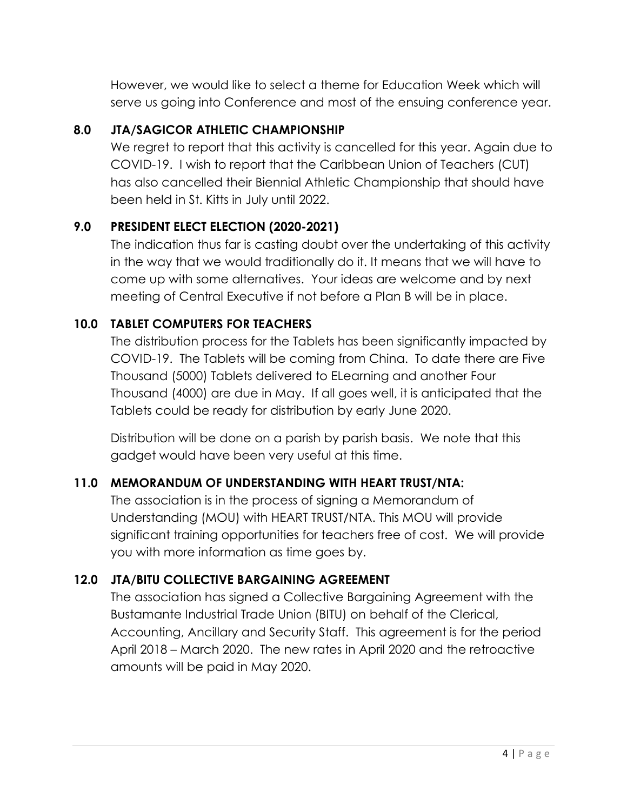However, we would like to select a theme for Education Week which will serve us going into Conference and most of the ensuing conference year.

# **8.0 JTA/SAGICOR ATHLETIC CHAMPIONSHIP**

We regret to report that this activity is cancelled for this year. Again due to COVID-19. I wish to report that the Caribbean Union of Teachers (CUT) has also cancelled their Biennial Athletic Championship that should have been held in St. Kitts in July until 2022.

#### **9.0 PRESIDENT ELECT ELECTION (2020-2021)**

The indication thus far is casting doubt over the undertaking of this activity in the way that we would traditionally do it. It means that we will have to come up with some alternatives. Your ideas are welcome and by next meeting of Central Executive if not before a Plan B will be in place.

#### **10.0 TABLET COMPUTERS FOR TEACHERS**

The distribution process for the Tablets has been significantly impacted by COVID-19. The Tablets will be coming from China. To date there are Five Thousand (5000) Tablets delivered to ELearning and another Four Thousand (4000) are due in May. If all goes well, it is anticipated that the Tablets could be ready for distribution by early June 2020.

Distribution will be done on a parish by parish basis. We note that this gadget would have been very useful at this time.

#### **11.0 MEMORANDUM OF UNDERSTANDING WITH HEART TRUST/NTA:**

The association is in the process of signing a Memorandum of Understanding (MOU) with HEART TRUST/NTA. This MOU will provide significant training opportunities for teachers free of cost. We will provide you with more information as time goes by.

#### **12.0 JTA/BITU COLLECTIVE BARGAINING AGREEMENT**

The association has signed a Collective Bargaining Agreement with the Bustamante Industrial Trade Union (BITU) on behalf of the Clerical, Accounting, Ancillary and Security Staff. This agreement is for the period April 2018 – March 2020. The new rates in April 2020 and the retroactive amounts will be paid in May 2020.